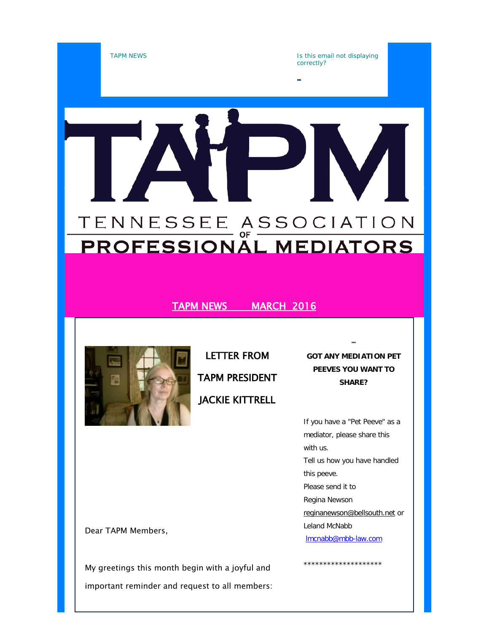



LETTER FROM TAPM PRESIDENT JACKIE KITTRELL

**GOT ANY MEDIATION PET PEEVES YOU WANT TO SHARE?**

If you have a "Pet Peeve" as a mediator, please share this with us. Tell us how you have handled this peeve. Please send it to Regina Newson [reginanewson@bellsouth.net](mailto:reginanewson@bellsouth.net) or Leland McNabb [lmcnabb@mbb-law.com](mailto:lmcnabb@mbb-law.com)

\*\*\*\*\*\*\*\*\*\*\*\*\*\*\*\*\*\*\*\*

Dear TAPM Members,

My greetings this month begin with a joyful and important reminder and request to all members: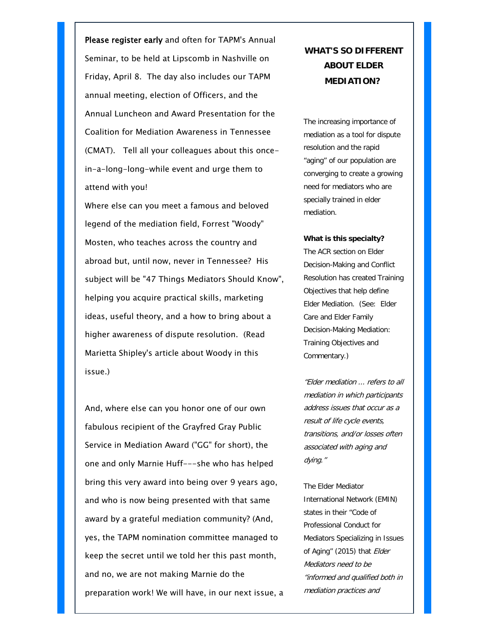Please register early and often for TAPM's Annual Seminar, to be held at Lipscomb in Nashville on Friday, April 8. The day also includes our TAPM annual meeting, election of Officers, and the Annual Luncheon and Award Presentation for the Coalition for Mediation Awareness in Tennessee (CMAT). Tell all your colleagues about this oncein-a-long-long-while event and urge them to attend with you!

Where else can you meet a famous and beloved legend of the mediation field, Forrest "Woody" Mosten, who teaches across the country and abroad but, until now, never in Tennessee? His subject will be "47 Things Mediators Should Know", helping you acquire practical skills, marketing ideas, useful theory, and a how to bring about a higher awareness of dispute resolution. (Read Marietta Shipley's article about Woody in this issue.)

And, where else can you honor one of our own fabulous recipient of the Grayfred Gray Public Service in Mediation Award ("GG" for short), the one and only Marnie Huff---she who has helped bring this very award into being over 9 years ago, and who is now being presented with that same award by a grateful mediation community? (And, yes, the TAPM nomination committee managed to keep the secret until we told her this past month, and no, we are not making Marnie do the preparation work! We will have, in our next issue, a

### **WHAT'S SO DIFFERENT ABOUT ELDER MEDIATION?**

The increasing importance of mediation as a tool for dispute resolution and the rapid "aging" of our population are converging to create a growing need for mediators who are specially trained in elder mediation.

#### **What is this specialty?**

The ACR section on Elder Decision-Making and Conflict Resolution has created Training Objectives that help define Elder Mediation. (See: Elder Care and Elder Family Decision-Making Mediation: Training Objectives and Commentary.)

"Elder mediation ... refers to all mediation in which participants address issues that occur as a result of life cycle events, transitions, and/or losses often associated with aging and dying."

The Elder Mediator International Network (EMIN) states in their "Code of Professional Conduct for Mediators Specializing in Issues of Aging" (2015) that Elder Mediators need to be "informed and qualified both in mediation practices and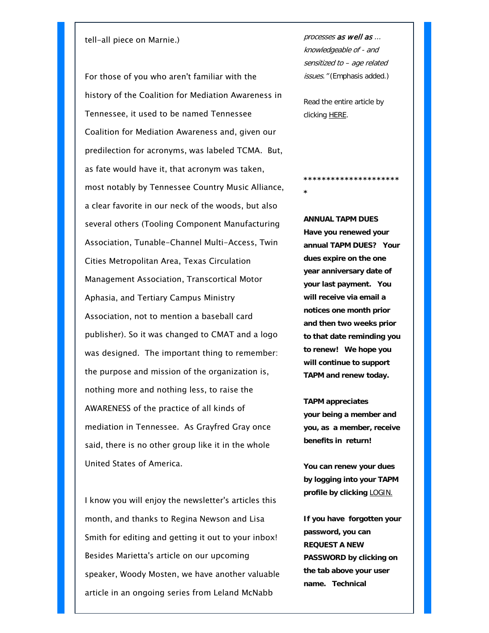#### tell-all piece on Marnie.)

For those of you who aren't familiar with the history of the Coalition for Mediation Awareness in Tennessee, it used to be named Tennessee Coalition for Mediation Awareness and, given our predilection for acronyms, was labeled TCMA. But, as fate would have it, that acronym was taken, most notably by Tennessee Country Music Alliance, a clear favorite in our neck of the woods, but also several others (Tooling Component Manufacturing Association, Tunable-Channel Multi-Access, Twin Cities Metropolitan Area, Texas Circulation Management Association, Transcortical Motor Aphasia, and Tertiary Campus Ministry Association, not to mention a baseball card publisher). So it was changed to CMAT and a logo was designed. The important thing to remember: the purpose and mission of the organization is, nothing more and nothing less, to raise the AWARENESS of the practice of all kinds of mediation in Tennessee. As Grayfred Gray once said, there is no other group like it in the whole United States of America.

I know you will enjoy the newsletter's articles this month, and thanks to Regina Newson and Lisa Smith for editing and getting it out to your inbox! Besides Marietta's article on our upcoming speaker, Woody Mosten, we have another valuable article in an ongoing series from Leland McNabb

processes as well as ... knowledgeable of - and sensitized to – age related issues." (Emphasis added.)

Read the entire article by clicking [HERE.](http://tennmediators.us2.list-manage.com/track/click?u=589c91d2d152bb4fe6be9d5d8&id=741eaefd04&e=c821e8fa9f)

**\***

**\*\*\*\*\*\*\*\*\*\*\*\*\*\*\*\*\*\*\*\*\***

**ANNUAL TAPM DUES Have you renewed your annual TAPM DUES? Your dues expire on the one year anniversary date of your last payment. You will receive via email a notices one month prior and then two weeks prior to that date reminding you to renew! We hope you will continue to support TAPM and renew today.**

**TAPM appreciates your being a member and you, as a member, receive benefits in return!**

**You can renew your dues by logging into your TAPM profile by clicking** [LOGIN.](http://tennmediators.us2.list-manage.com/track/click?u=589c91d2d152bb4fe6be9d5d8&id=80b3ce2b7a&e=c821e8fa9f)

**If you have forgotten your password, you can REQUEST A NEW PASSWORD by clicking on the tab above your user name. Technical**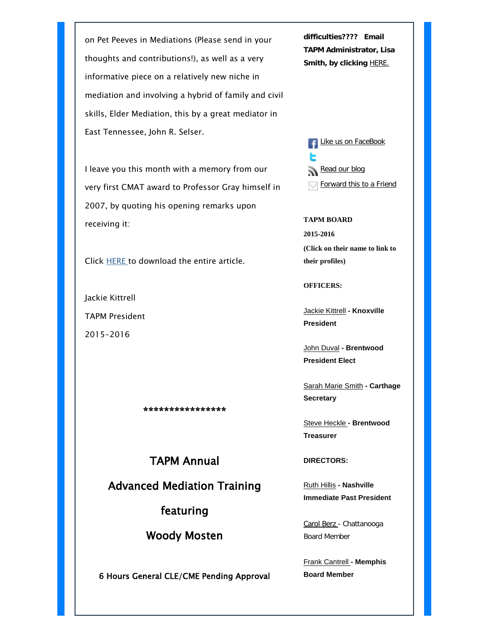on Pet Peeves in Mediations (Please send in your thoughts and contributions!), as well as a very informative piece on a relatively new niche in mediation and involving a hybrid of family and civil skills, Elder Mediation, this by a great mediator in East Tennessee, John R. Selser.

I leave you this month with a memory from our very first CMAT award to Professor Gray himself in 2007, by quoting his opening remarks upon receiving it:

Click [HERE](http://tennmediators.us2.list-manage1.com/track/click?u=589c91d2d152bb4fe6be9d5d8&id=c8c8e7c037&e=c821e8fa9f) to download the entire article.

Jackie Kittrell TAPM President 2015-2016

\*\*\*\*\*\*\*\*\*\*\*\*\*\*\*\*

TAPM Annual

Advanced Mediation Training

featuring

Woody Mosten

6 Hours General CLE/CME Pending Approval

**difficulties???? Email TAPM Administrator, Lisa Smith, by clicking [HERE.](mailto:tapm@tennmediators.org?subject=Dues%20Renewal%20Login)** 

**[Like us on FaceBook](http://tennmediators.us2.list-manage.com/track/click?u=589c91d2d152bb4fe6be9d5d8&id=9d70da804e&e=c821e8fa9f)** [Read our blog](http://tennmediators.us2.list-manage.com/track/click?u=589c91d2d152bb4fe6be9d5d8&id=99b5f10958&e=c821e8fa9f) **[Forward this to a Friend](http://us2.forward-to-friend2.com/forward?u=589c91d2d152bb4fe6be9d5d8&id=f8e3559cdd&e=c821e8fa9f)** 

**TAPM BOARD 2015-2016 (Click on their name to link to their profiles)**

**OFFICERS:**

[Jackie Kittrell](http://tennmediators.us2.list-manage1.com/track/click?u=589c91d2d152bb4fe6be9d5d8&id=f7f814db65&e=c821e8fa9f) **- Knoxville President**

[John Duval](http://tennmediators.us2.list-manage.com/track/click?u=589c91d2d152bb4fe6be9d5d8&id=cc9bc01228&e=c821e8fa9f) **- Brentwood President Elect**

[Sarah Marie Smith](http://tennmediators.us2.list-manage1.com/track/click?u=589c91d2d152bb4fe6be9d5d8&id=06c1c0d9ba&e=c821e8fa9f) **- Carthage Secretary**

[Steve Heckle](http://tennmediators.us2.list-manage.com/track/click?u=589c91d2d152bb4fe6be9d5d8&id=83c49eefc5&e=c821e8fa9f) **- Brentwood Treasurer**

**DIRECTORS:**

[Ruth Hillis](http://tennmediators.us2.list-manage.com/track/click?u=589c91d2d152bb4fe6be9d5d8&id=61fb7f855b&e=c821e8fa9f) **- Nashville Immediate Past President**

[Carol Berz](http://tennmediators.us2.list-manage.com/track/click?u=589c91d2d152bb4fe6be9d5d8&id=aef0aadacb&e=c821e8fa9f) [-](http://tennmediators.us2.list-manage.com/track/click?u=589c91d2d152bb4fe6be9d5d8&id=aef0aadacb&e=c821e8fa9f) Chattanooga Board Member

[Frank Cantrell](http://tennmediators.us2.list-manage2.com/track/click?u=589c91d2d152bb4fe6be9d5d8&id=47db160e13&e=c821e8fa9f) **- Memphis Board Member**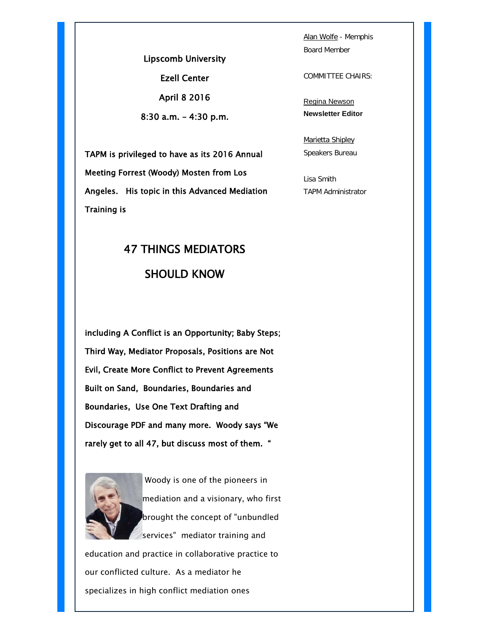Lipscomb University Ezell Center April 8 2016 8:30 a.m. – 4:30 p.m.

TAPM is privileged to have as its 2016 Annual Meeting Forrest (Woody) Mosten from Los Angeles. His topic in this Advanced Mediation Training is

# 47 THINGS MEDIATORS SHOULD KNOW

including A Conflict is an Opportunity; Baby Steps; Third Way, Mediator Proposals, Positions are Not Evil, Create More Conflict to Prevent Agreements Built on Sand, Boundaries, Boundaries and Boundaries, Use One Text Drafting and Discourage PDF and many more. Woody says "We rarely get to all 47, but discuss most of them. "



Woody is one of the pioneers in mediation and a visionary, who first brought the concept of "unbundled services" mediator training and

education and practice in collaborative practice to our conflicted culture. As a mediator he specializes in high conflict mediation ones

[Alan Wolfe](http://tennmediators.us2.list-manage.com/track/click?u=589c91d2d152bb4fe6be9d5d8&id=ad97309992&e=c821e8fa9f) - Memphis Board Member

COMMITTEE CHAIRS:

[Regina Newson](http://tennmediators.us2.list-manage.com/track/click?u=589c91d2d152bb4fe6be9d5d8&id=8221500fda&e=c821e8fa9f) **Newsletter Editor**

[Marietta Shipley](http://tennmediators.us2.list-manage.com/track/click?u=589c91d2d152bb4fe6be9d5d8&id=fb3440b301&e=c821e8fa9f) Speakers Bureau

Lisa Smith TAPM Administrator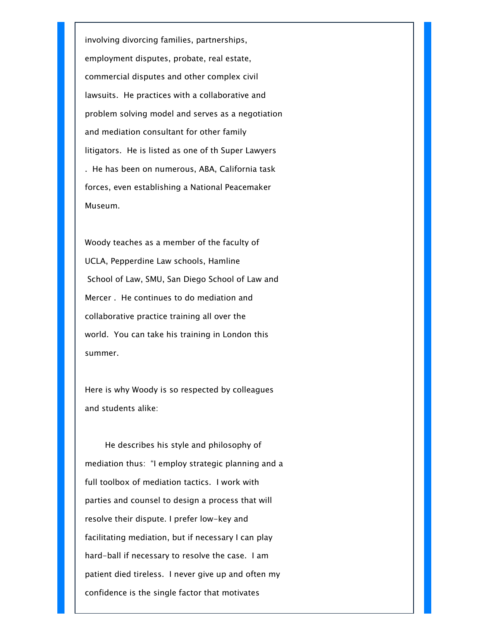involving divorcing families, partnerships, employment disputes, probate, real estate, commercial disputes and other complex civil lawsuits. He practices with a collaborative and problem solving model and serves as a negotiation and mediation consultant for other family litigators. He is listed as one of th Super Lawyers . He has been on numerous, ABA, California task forces, even establishing a National Peacemaker Museum.

Woody teaches as a member of the faculty of UCLA, Pepperdine Law schools, Hamline School of Law, SMU, San Diego School of Law and Mercer . He continues to do mediation and collaborative practice training all over the world. You can take his training in London this summer.

Here is why Woody is so respected by colleagues and students alike:

 He describes his style and philosophy of mediation thus: "I employ strategic planning and a full toolbox of mediation tactics. I work with parties and counsel to design a process that will resolve their dispute. I prefer low-key and facilitating mediation, but if necessary I can play hard-ball if necessary to resolve the case. I am patient died tireless. I never give up and often my confidence is the single factor that motivates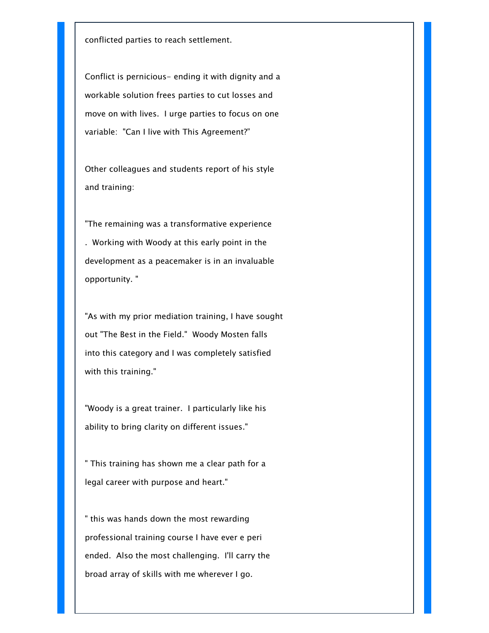conflicted parties to reach settlement.

Conflict is pernicious- ending it with dignity and a workable solution frees parties to cut losses and move on with lives. I urge parties to focus on one variable: "Can I live with This Agreement?"

Other colleagues and students report of his style and training:

"The remaining was a transformative experience . Working with Woody at this early point in the development as a peacemaker is in an invaluable opportunity. "

"As with my prior mediation training, I have sought out "The Best in the Field." Woody Mosten falls into this category and I was completely satisfied with this training."

"Woody is a great trainer. I particularly like his ability to bring clarity on different issues."

" This training has shown me a clear path for a legal career with purpose and heart."

" this was hands down the most rewarding professional training course I have ever e peri ended. Also the most challenging. I'll carry the broad array of skills with me wherever I go.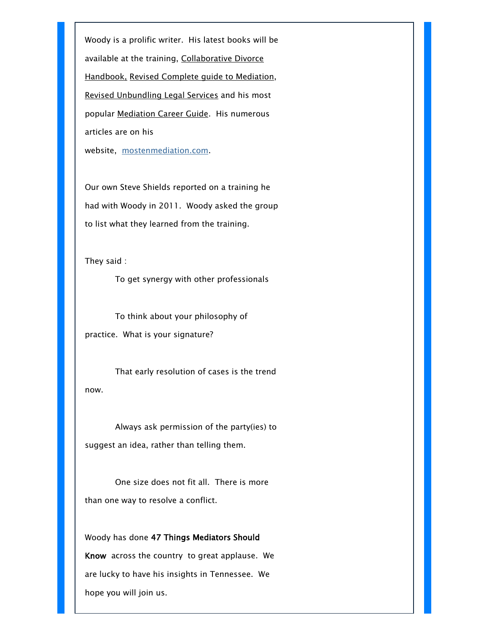Woody is a prolific writer. His latest books will be available at the training, Collaborative Divorce Handbook, Revised Complete guide to Mediation, Revised Unbundling Legal Services and his most popular Mediation Career Guide. His numerous articles are on his website, [mostenmediation.com.](http://tennmediators.us2.list-manage.com/track/click?u=589c91d2d152bb4fe6be9d5d8&id=d311921dbb&e=c821e8fa9f)

Our own Steve Shields reported on a training he had with Woody in 2011. Woody asked the group to list what they learned from the training.

They said :

To get synergy with other professionals

 To think about your philosophy of practice. What is your signature?

 That early resolution of cases is the trend now.

 Always ask permission of the party(ies) to suggest an idea, rather than telling them.

 One size does not fit all. There is more than one way to resolve a conflict.

Woody has done 47 Things Mediators Should Know across the country to great applause. We are lucky to have his insights in Tennessee. We hope you will join us.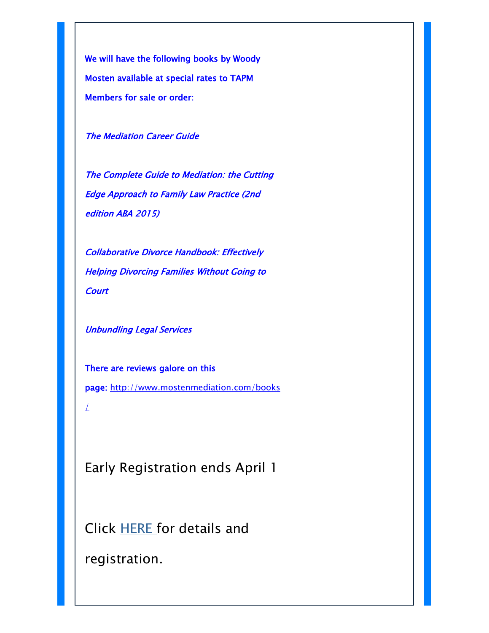We will have the following books by Woody Mosten available at special rates to TAPM Members for sale or order:

The Mediation Career Guide

The Complete Guide to Mediation: the Cutting Edge Approach to Family Law Practice (2nd edition ABA 2015)

Collaborative Divorce Handbook: Effectively Helping Divorcing Families Without Going to **Court** 

Unbundling Legal Services

There are reviews galore on this page: [http://www.mostenmediation.com/books](http://tennmediators.us2.list-manage.com/track/click?u=589c91d2d152bb4fe6be9d5d8&id=738985696d&e=c821e8fa9f)

Early Registration ends April 1

Click [HERE f](http://tennmediators.us2.list-manage.com/track/click?u=589c91d2d152bb4fe6be9d5d8&id=ad72081c31&e=c821e8fa9f)or details and

registration.

 $\perp$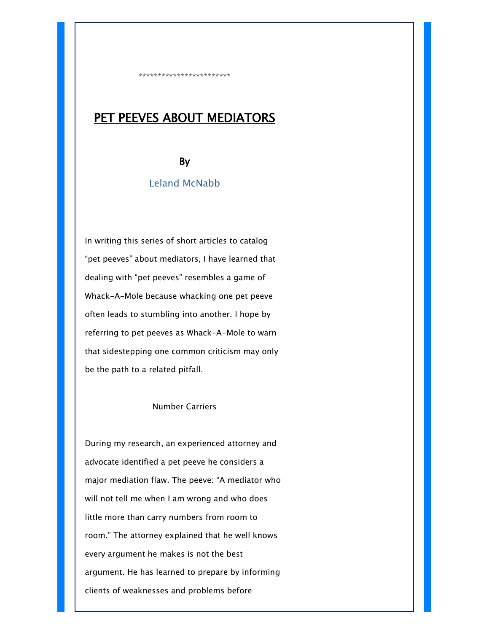# PET PEEVES ABOUT MEDIATORS

\*\*\*\*\*\*\*\*\*\*\*\*\*\*\*\*\*\*\*\*\*\*\*\*

### By

#### [Leland McNabb](http://tennmediators.us2.list-manage.com/track/click?u=589c91d2d152bb4fe6be9d5d8&id=fc1a471785&e=c821e8fa9f)

In writing this series of short articles to catalog "pet peeves" about mediators, I have learned that dealing with "pet peeves" resembles a game of Whack-A-Mole because whacking one pet peeve often leads to stumbling into another. I hope by referring to pet peeves as Whack-A-Mole to warn that sidestepping one common criticism may only be the path to a related pitfall.

#### Number Carriers

During my research, an experienced attorney and advocate identified a pet peeve he considers a major mediation flaw. The peeve: "A mediator who will not tell me when I am wrong and who does little more than carry numbers from room to room." The attorney explained that he well knows every argument he makes is not the best argument. He has learned to prepare by informing clients of weaknesses and problems before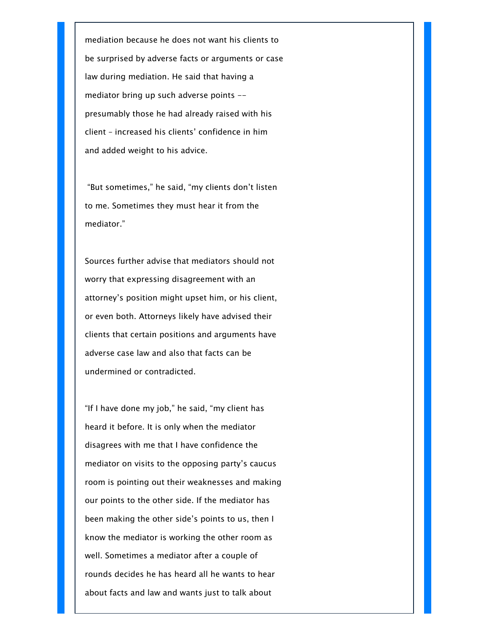mediation because he does not want his clients to be surprised by adverse facts or arguments or case law during mediation. He said that having a mediator bring up such adverse points - presumably those he had already raised with his client – increased his clients' confidence in him and added weight to his advice.

"But sometimes," he said, "my clients don't listen to me. Sometimes they must hear it from the mediator."

Sources further advise that mediators should not worry that expressing disagreement with an attorney's position might upset him, or his client, or even both. Attorneys likely have advised their clients that certain positions and arguments have adverse case law and also that facts can be undermined or contradicted.

"If I have done my job," he said, "my client has heard it before. It is only when the mediator disagrees with me that I have confidence the mediator on visits to the opposing party's caucus room is pointing out their weaknesses and making our points to the other side. If the mediator has been making the other side's points to us, then I know the mediator is working the other room as well. Sometimes a mediator after a couple of rounds decides he has heard all he wants to hear about facts and law and wants just to talk about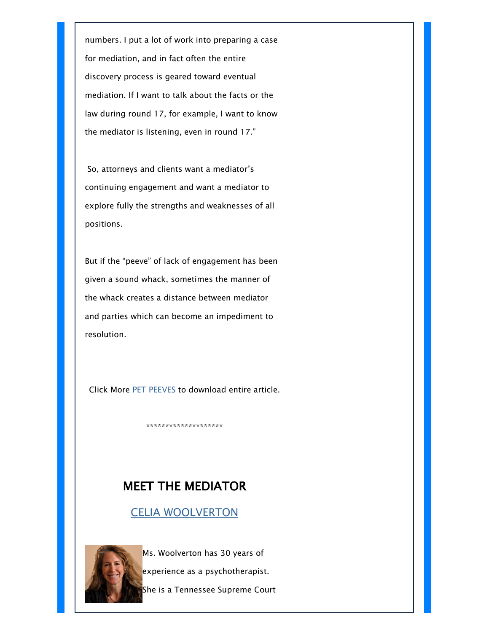numbers. I put a lot of work into preparing a case for mediation, and in fact often the entire discovery process is geared toward eventual mediation. If I want to talk about the facts or the law during round 17, for example, I want to know the mediator is listening, even in round 17."

So, attorneys and clients want a mediator's continuing engagement and want a mediator to explore fully the strengths and weaknesses of all positions.

But if the "peeve" of lack of engagement has been given a sound whack, sometimes the manner of the whack creates a distance between mediator and parties which can become an impediment to resolution.

Click More [PET PEEVES](http://tennmediators.us2.list-manage.com/track/click?u=589c91d2d152bb4fe6be9d5d8&id=fbbcf56442&e=c821e8fa9f) to download entire article.

\*\*\*\*\*\*\*\*\*\*\*\*\*\*\*\*\*\*\*\*

## MEET THE MEDIATOR

[CELIA WOOLVERTON](http://tennmediators.us2.list-manage.com/track/click?u=589c91d2d152bb4fe6be9d5d8&id=b4080b6296&e=c821e8fa9f)



Ms. Woolverton has 30 years of

experience as a psychotherapist.

She is a Tennessee Supreme Court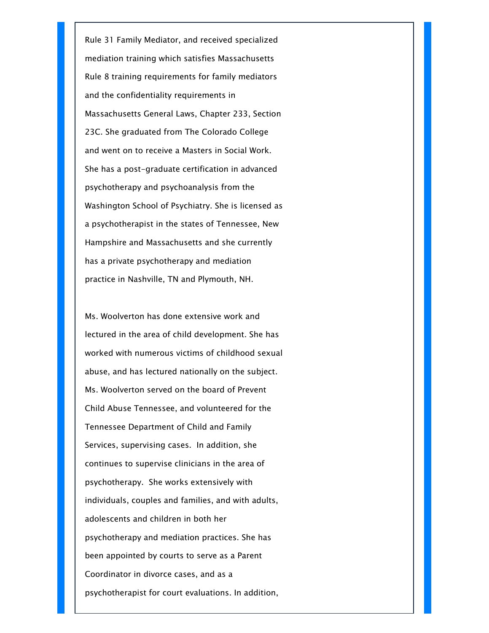Rule 31 Family Mediator, and received specialized mediation training which satisfies Massachusetts Rule 8 training requirements for family mediators and the confidentiality requirements in Massachusetts General Laws, Chapter 233, Section 23C. She graduated from The Colorado College and went on to receive a Masters in Social Work. She has a post-graduate certification in advanced psychotherapy and psychoanalysis from the Washington School of Psychiatry. She is licensed as a psychotherapist in the states of Tennessee, New Hampshire and Massachusetts and she currently has a private psychotherapy and mediation practice in Nashville, TN and Plymouth, NH.

Ms. Woolverton has done extensive work and lectured in the area of child development. She has worked with numerous victims of childhood sexual abuse, and has lectured nationally on the subject. Ms. Woolverton served on the board of Prevent Child Abuse Tennessee, and volunteered for the Tennessee Department of Child and Family Services, supervising cases. In addition, she continues to supervise clinicians in the area of psychotherapy. She works extensively with individuals, couples and families, and with adults, adolescents and children in both her psychotherapy and mediation practices. She has been appointed by courts to serve as a Parent Coordinator in divorce cases, and as a psychotherapist for court evaluations. In addition,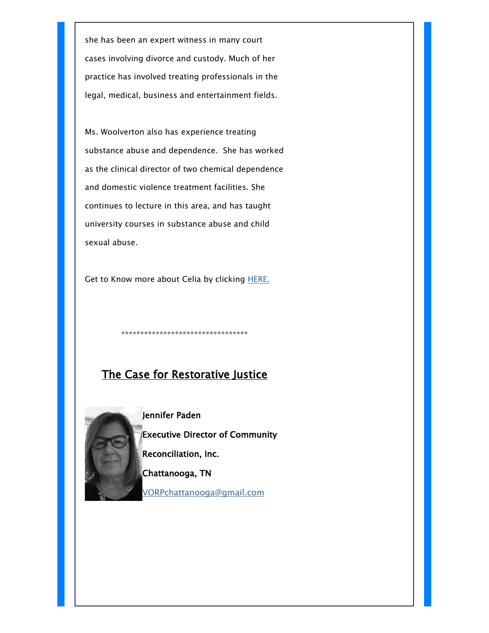she has been an expert witness in many court cases involving divorce and custody. Much of her practice has involved treating professionals in the legal, medical, business and entertainment fields.

Ms. Woolverton also has experience treating substance abuse and dependence. She has worked as the clinical director of two chemical dependence and domestic violence treatment facilities. She continues to lecture in this area, and has taught university courses in substance abuse and child sexual abuse.

Get to Know more about Celia by clicking **HERE.** 

\*\*\*\*\*\*\*\*\*\*\*\*\*\*\*\*\*\*\*\*\*\*\*\*\*\*\*\*\*\*\*\*\*

## The Case for Restorative Justice

Jennifer Paden Executive Director of Community Reconciliation, Inc. Chattanooga, TN

[VORPchattanooga@gmail.com](mailto:VORPchattanooga@gmail.com)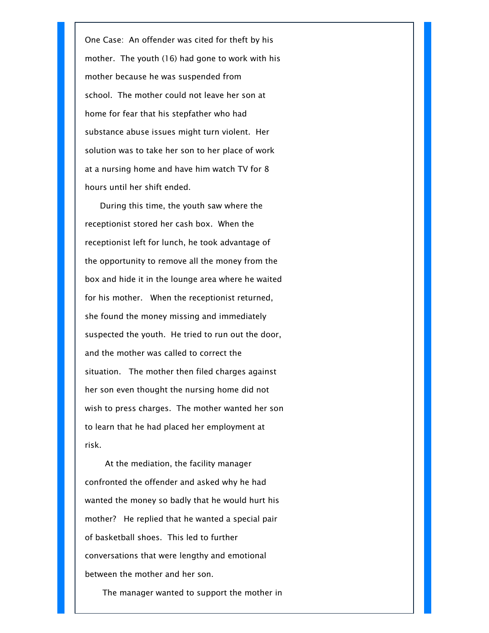One Case: An offender was cited for theft by his mother. The youth (16) had gone to work with his mother because he was suspended from school. The mother could not leave her son at home for fear that his stepfather who had substance abuse issues might turn violent. Her solution was to take her son to her place of work at a nursing home and have him watch TV for 8 hours until her shift ended.

During this time, the youth saw where the receptionist stored her cash box. When the receptionist left for lunch, he took advantage of the opportunity to remove all the money from the box and hide it in the lounge area where he waited for his mother. When the receptionist returned, she found the money missing and immediately suspected the youth. He tried to run out the door, and the mother was called to correct the situation. The mother then filed charges against her son even thought the nursing home did not wish to press charges. The mother wanted her son to learn that he had placed her employment at risk.

 At the mediation, the facility manager confronted the offender and asked why he had wanted the money so badly that he would hurt his mother? He replied that he wanted a special pair of basketball shoes. This led to further conversations that were lengthy and emotional between the mother and her son.

The manager wanted to support the mother in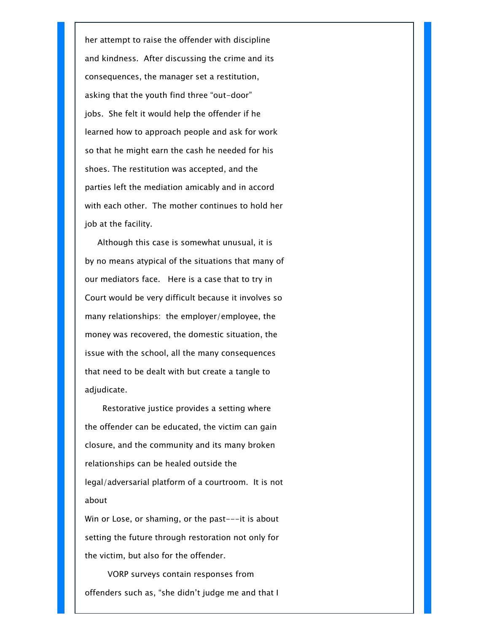her attempt to raise the offender with discipline and kindness. After discussing the crime and its consequences, the manager set a restitution, asking that the youth find three "out-door" jobs. She felt it would help the offender if he learned how to approach people and ask for work so that he might earn the cash he needed for his shoes. The restitution was accepted, and the parties left the mediation amicably and in accord with each other. The mother continues to hold her job at the facility.

 Although this case is somewhat unusual, it is by no means atypical of the situations that many of our mediators face. Here is a case that to try in Court would be very difficult because it involves so many relationships: the employer/employee, the money was recovered, the domestic situation, the issue with the school, all the many consequences that need to be dealt with but create a tangle to adjudicate.

 Restorative justice provides a setting where the offender can be educated, the victim can gain closure, and the community and its many broken relationships can be healed outside the legal/adversarial platform of a courtroom. It is not about

Win or Lose, or shaming, or the past---it is about setting the future through restoration not only for the victim, but also for the offender.

 VORP surveys contain responses from offenders such as, "she didn't judge me and that I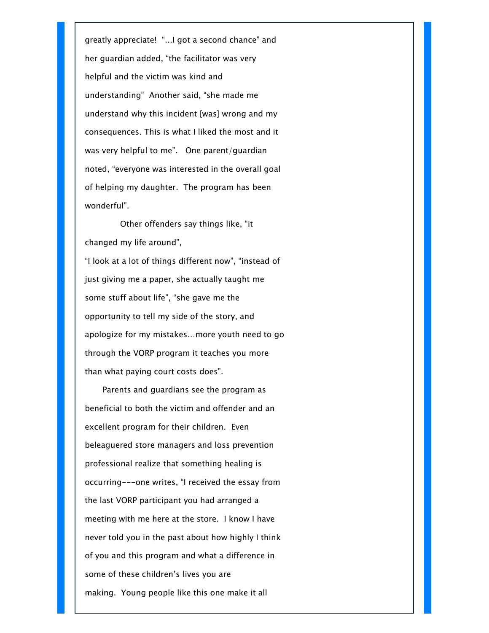greatly appreciate! "...I got a second chance" and her guardian added, "the facilitator was very helpful and the victim was kind and understanding" Another said, "she made me understand why this incident [was] wrong and my consequences. This is what I liked the most and it was very helpful to me". One parent/guardian noted, "everyone was interested in the overall goal of helping my daughter. The program has been wonderful".

 Other offenders say things like, "it changed my life around", "I look at a lot of things different now", "instead of just giving me a paper, she actually taught me some stuff about life", "she gave me the opportunity to tell my side of the story, and apologize for my mistakes…more youth need to go through the VORP program it teaches you more than what paying court costs does".

 Parents and guardians see the program as beneficial to both the victim and offender and an excellent program for their children. Even beleaguered store managers and loss prevention professional realize that something healing is occurring---one writes, "I received the essay from the last VORP participant you had arranged a meeting with me here at the store. I know I have never told you in the past about how highly I think of you and this program and what a difference in some of these children's lives you are making. Young people like this one make it all